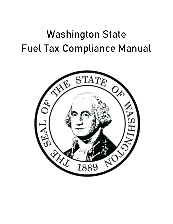# Washington State Fuel Tax Compliance Manual

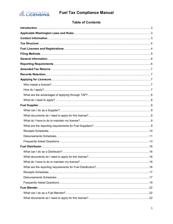

# **Table of Contents**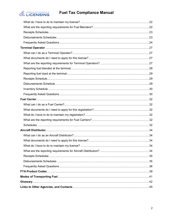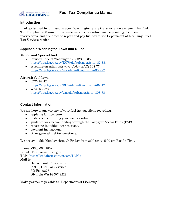

# <span id="page-3-0"></span>**Introduction**

Fuel tax is used to fund and support Washington State transportation systems. The Fuel Tax Compliance Manual provides definitions, tax return and supporting document instructions, and due dates to report and pay fuel tax to the Department of Licensing, Fuel Tax Services section.

# <span id="page-3-1"></span>**Applicable Washington Laws and Rules**

### **Motor and Special fuel**

- Revised Code of Washington (RCW) 82.38: [https://app.leg.wa.gov/RCW/default.aspx?cite=82.38,](https://app.leg.wa.gov/RCW/default.aspx?cite=82.38)
- Washington Administrative Code (WAC) 308-77: [https://app.leg.wa.gov/wac/default.aspx?cite=308-77.](https://app.leg.wa.gov/wac/default.aspx?cite=308-77)

# **Aircraft fuel laws**,

- RCW 82.42: [https://app.leg.wa.gov/RCW/default.aspx?cite=82.42.](https://app.leg.wa.gov/RCW/default.aspx?cite=82.42)
- WAC 308-78: <https://app.leg.wa.gov/wac/default.aspx?cite=308-78>

# <span id="page-3-2"></span>**Contact Information**

We are here to answer any of your fuel tax questions regarding:

- applying for licensure.
- instructions for filing your fuel tax return.
- guidance for electronic filing through the Taxpayer Access Point (TAP).
- reporting individual transactions.
- payment instructions.
- other general fuel tax questions.

We are available Monday through Friday from 8:00 am to 5:00 pm Pacific Time.

Phone: (360) 664-1852 Email: FuelTax@dol.wa.gov TAP: [https://wadolprft.gentax.com/TAP/\\_/](https://wadolprft.gentax.com/TAP/_/) Mail to: Department of Licensing PRFT, Fuel Tax Services PO Box 9228 Olympia WA 98507-9228

Make payments payable to "Department of Licensing."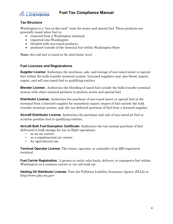

# <span id="page-4-0"></span>**Tax Structure**

Washington is a "tax-at-the-rack" state for motor and special fuel. These products are generally taxed when fuel is:

- removed from a Washington terminal.
- imported into Washington.
- blended with non-taxed products.
- produced outside of the terminal but within Washington State.

**Note:** *Aircraft fuel is taxed at the distributor level.*

### <span id="page-4-1"></span>**Fuel Licenses and Registrations**

**Supplier License**: Authorizes the purchase, sale, and storage of non-taxed motor or special fuel within the bulk transfer terminal system. Licensed suppliers may also blend, import, export, and sell non-taxed fuel to qualifying entities.

**Blender License:** Authorizes the blending of taxed fuel outside the bulk transfer terminal system with other untaxed products to produce motor and special fuel.

**Distributor License:** Authorizes the purchase of non-taxed motor or special fuel at the terminal from a licensed supplier for immediate export; import of fuel outside the bulk transfer terminal system; and, the tax deferred purchase of fuel from a licensed supplier.

**Aircraft Distributor License**: Authorizes the purchase and sale of non-taxed jet fuel or aviation gasoline fuel to qualifying entities.

**Aircraft Bulk Fuel Exemption Certificate:** Authorizes the tax-exempt purchase of fuel delivered to bulk storage for use in flight operations:

- as an air carrier.
- as a supplemental air carrier.
- for agricultural use.

**Terminal Operator License:** The owner, operator, or controller of an IRS registered terminal.

**Fuel Carrier Registration:** A person or entity who hauls, delivers, or transports fuel within Washington as a common carrier or via rail tank car.

**Heating Oil Distributor License:** Visit the Pollution Liability Insurance Agency (PLIA) at http://www.plia.wa.gov/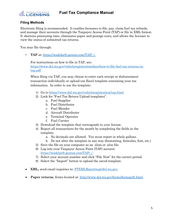

# <span id="page-5-0"></span>**Filing Methods**

Electronic filing is recommended. It enables licensees to file, pay, claim fuel tax refunds, and manage their accounts through the Taxpayer Access Point (TAP) or file in XML format. It shortens processing time, eliminates paper and postage costs, and allows the licensee to view the status of submitted tax returns.

You may file through:

• **TAP** at: [https://wadolprft.gentax.com/TAP/\\_/.](https://wadolprft.gentax.com/TAP/_/)

For instructions on how to file in TAP, see:

[https://www.dol.wa.gov/vehicleregistration/docs/how-to-file-fuel-tax-returns-in](https://www.dol.wa.gov/vehicleregistration/docs/how-to-file-fuel-tax-returns-in-tap.pdf)[tap.pdf](https://www.dol.wa.gov/vehicleregistration/docs/how-to-file-fuel-tax-returns-in-tap.pdf)

When filing via TAP, you may choose to enter each receipt or disbursement transaction individually or upload our Excel template containing your tax information. In order to use the template:

- 1) Go to<https://www.dol.wa.gov/vehicleregistration/tap.html>
- 2) Look for "Fuel Tax Return Upload templates".
	- a. Fuel Supplier
	- b. Fuel Distributor
	- c. Fuel Blender
	- d. Aircraft Distributor
	- e. Terminal Operator
	- f. Fuel Carrier
- 3) Download the template that corresponds to your license.
- 4) Report all transactions for the month by completing the fields in the template.
	- a. No decimals are allowed. You must report in whole gallons.
	- b. Do not alter the template in any way (formatting, formulas, font, etc.)
- 5) Save the file on your computer as an .xlsm or .xlsx file.
- 6) Log into your Taxpayer Access Point (TAP) account: https://wadolprft.gentax.com/TAP//.
- 7) Select your account number and click "File Now" for the correct period.
- 8) Select the "Import" button to upload the saved template.
- **XML**, send email inquiries to: [FTXMLReporting@dol.wa.gov.](file://dolfsgroup/Group/Dlr_dist/Compliance%20Guide/FTXMLReporting@dol.wa.gov.%20)
- **Paper returns**, forms located at: [http://www.dol.wa.gov/forms/formsprft.html.](http://www.dol.wa.gov/forms/formsprft.html)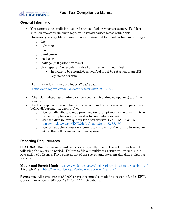

# <span id="page-6-0"></span>**General Information**

- You cannot take credit for lost or destroyed fuel on your tax return. Fuel lost through evaporation, shrinkage, or unknown causes is not refundable. However, you may file a claim for Washington fuel tax paid on fuel lost through:
	- o fire
	- o lightning
	- o flood
	- o wind storm
	- o explosion
	- o leakage (500 gallons or more)
	- o clear special fuel accidently dyed or mixed with motor fuel
		- In order to be refunded, mixed fuel must be returned to an IRS registered terminal.

For more information, see RCW 82.38.180 at: [https://app.leg.wa.gov/RCW/default.aspx?cite=82.38.180.](https://app.leg.wa.gov/RCW/default.aspx?cite=82.38.180)

- Ethanol, biodiesel, and butane (when used as a blending component) are fully taxable.
- It is the responsibility of a fuel seller to confirm license status of the purchaser before disbursing tax-exempt fuel:
	- o Licensed distributors may purchase tax-exempt fuel at the terminal from licensed suppliers only when it is for immediate export.
	- o Licensed distributors qualify for a tax-deferral See RCW 82.38.160: <https://app.leg.wa.gov/RCW/default.aspx?cite=82.38.160>
	- o Licensed suppliers may only purchase tax-exempt fuel at the terminal or within the bulk transfer terminal system.

# <span id="page-6-1"></span>**Reporting Requirements**

**Due Dates**: Fuel tax returns and reports are typically due on the 25th of each month following the reporting period. Failure to file a monthly tax return will result in the revocation of a license. For a current list of tax return and payment due dates, visit our website:

**Motor and Special fuel:** <http://www.dol.wa.gov/vehicleregistration/ftmotorspecial.html> **Aircraft fuel:** <http://www.dol.wa.gov/vehicleregistration/ftaircraft.html>

**Payments**: All payments of \$50,000 or greater must be made in electronic funds (EFT). Contact our office at 360-664-1852 for EFT instructions.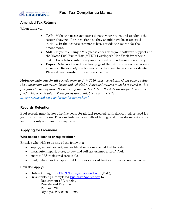

# <span id="page-7-0"></span>**Amended Tax Returns**

When filing via:

- **TAP** Make the necessary corrections to your return and resubmit the return showing all transactions as they should have been reported initially. In the licensee comments box, provide the reason for the amendment.
- **XML -** If you file using XML, please check with your software support and the Motor Fuel Excise Tax (MFET) Developer's Handbook for schema instructions before submitting an amended return to ensure accuracy.
- **Paper Return -** Correct the first page of the return to show the correct amounts. Report *only* the transactions that need to be added or deleted. Please do not re-submit the entire schedule.

**Note:** *Amendments for all periods prior to July 2016, must be submitted via paper, using the appropriate tax return forms and schedules. Amended returns must be received within five years following either the reporting period due date or the date the original return is filed, whichever is later. These forms are available on our website: [https://www.dol.wa.gov/forms/formsprft.html.](https://www.dol.wa.gov/forms/formsprft.html)*

# <span id="page-7-1"></span>**Records Retention**

Fuel records must be kept for five years for all fuel received, sold, distributed, or used for your own consumption. These include invoices, bills of lading, and other documents. Your account is subject to audit at any time.

# <span id="page-7-2"></span>**Applying for Licensure**

# <span id="page-7-3"></span>**Who needs a license or registration?**

Entities who wish to do any of the following:

- supply, import, export, and/or blend motor or special fuel for sale.
- distribute, import, store, or buy and sell tax-exempt aircraft fuel.
- operate IRS registered terminals.
- haul, deliver, or transport fuel for others via rail tank car or as a common carrier.

# <span id="page-7-4"></span>**How do I apply?**

- Online through [the PRFT Taxpayer Access Point](https://wadolprft.gentax.com/TAP/_/) (TAP), or
- By submitting a completed [Fuel Tax Application](https://www.dol.wa.gov/forms/441750.pdf) to:

Department of Licensing Prorate and Fuel Tax PO Box 9228 Olympia, WA 98507-9228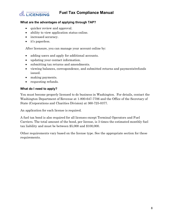

# <span id="page-8-0"></span>**What are the advantages of applying through TAP?**

- quicker review and approval.
- ability to view application status online.
- increased accuracy.
- it's paperless.

After licensure, you can manage your account online by:

- adding users and apply for additional accounts.
- updating your contact information.
- submitting tax returns and amendments.
- viewing balances, correspondence, and submitted returns and payments/refunds issued.
- making payments.
- requesting refunds.

# <span id="page-8-1"></span>**What do I need to apply?**

You must become properly licensed to do business in Washington. For details, contact the Washington Department of Revenue at 1-800-647-7706 and the Office of the Secretary of State (Corporations and Charities Division) at 360-725-0377.

An application for each license is required.

A fuel tax bond is also required for all licenses except Terminal Operators and Fuel Carriers. The total amount of the bond, per license, is 3 times the estimated monthly fuel tax liability and must be between \$5,000 and \$100,000.

Other requirements vary based on the license type. See the appropriate section for these requirements.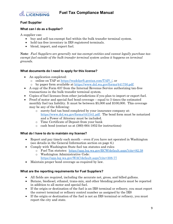

# <span id="page-9-0"></span>**Fuel Supplier**

# <span id="page-9-1"></span>**What can I do as a Supplier?**

A supplier can:

- buy and sell tax-exempt fuel within the bulk transfer terminal system.
- hold tax-free inventory in IRS registered terminals.
- blend, import, and export fuel.

**Note***: Fuel Suppliers are generally not tax-exempt entities and cannot legally purchase taxexempt fuel outside of the bulk transfer terminal system unless it happens on terminal grounds.* 

# <span id="page-9-2"></span>**What documents do I need to apply for this license?**

- An application completed:
	- o online on TAP at [https://wadolprft.gentax.com/TAP/\\_/,](https://wadolprft.gentax.com/TAP/_/) or
	- o by paper form available at [https://www.dol.wa.gov/forms/441750.pdf.](https://www.dol.wa.gov/forms/441750.pdf)
- A copy of the Form 637 from the Internal Revenue Service authorizing tax-free transactions in the bulk transfer terminal system.
- Copies of fuel licenses from other jurisdictions if you plan to import or export fuel.
- Proof of motor and special fuel bond coverage equal to 3 times the estimated monthly fuel tax liability. It must be between \$5,000 and \$100,000. This coverage may be any of the following:
	- o surety fuel tax bond completed by your insurance company at: [https://www.dol.wa.gov/forms/441541.pdf.](https://www.dol.wa.gov/forms/441541.pdf) The bond form must be notarized and a Power of Attorney must be included.
	- o Time Certificate of Deposit from your bank
	- o cash bond (contact us at (360) 664-1852 for instructions)

### <span id="page-9-3"></span>**What do I have to do to maintain my license?**

- Report and pay timely each month even if you have not operated in Washington (see details in the General Information section on page 6.)
- Comply with Washington State fuel tax statutes and rules
	- o Fuel Tax statutes: <https://app.leg.wa.gov/RCW/default.aspx?cite=82.38>
	- o Washington Administrative Code: <https://app.leg.wa.gov/WAC/default.aspx?cite=308-77>
- Maintain proper bond coverage as required by law.

### <span id="page-9-4"></span>**What are the reporting requirements for Fuel Suppliers?**

- All fields are required, including the accurate net, gross, and billed gallons.
- Butane, biodiesel, ethanol, trans-mix, and other blending products must be reported in addition to all motor and special fuel.
- If the origin or destination of the fuel is an IRS terminal or refinery, you must report the correct terminal or refinery control number as assigned by the IRS
- If the origin or destination of the fuel is not an IRS terminal or refinery, you must report the city and state.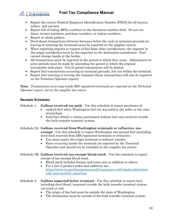

- Report the correct Federal Employer Identification Number (FEIN) for all buyers, sellers, and carriers.
- Report bill of lading (BOL) numbers in the document number field. Do not use dates, invoice numbers, purchase numbers, or railcar numbers.
- Report in whole gallons.
- Dyed diesel transactions between licensees below the rack on terminal grounds (or leaving or entering the terminal) must be reported on the supplier return.
- When reporting imports or exports of fuel from other jurisdictions, the exporter in the origin jurisdiction must be the importer in the destination jurisdiction. Fuel cannot change hands at the border.
- All transactions must be reported in the period in which they occur. Adjustments to prior periods must be made by amending the period in which the original transaction took place. Out of period transactions will be denied.
- Report fuel transactions occurring on terminal grounds, but not within the terminal.
- Report fuel entering or leaving the terminal (these transactions will also be reported on the Terminal Operator report).

**Note***: Transactions occurring inside IRS registered terminals are reported on the Terminal Operator report, not on the supplier tax return.* 

# <span id="page-10-0"></span>**Receipts Schedules**

Schedule 1: **Gallons received tax paid** - Use this schedule to report purchases of:

- undyed fuel when Washington fuel tax was paid to the seller at the time of purchase.
- dyed fuel (which is always purchased without fuel tax) received outside the bulk transfer terminal system.
- Schedule 2A: **Gallons received from Washington terminals or refineries, taxexempt** - Use this schedule to report Washington tax-exempt fuel (including dyed fuel) received from IRS registered terminals or refineries.
	- You must report the origin terminal or refinery number.
	- Sales occurring inside the terminal are reported by the Terminal Operator and should not be included on the supplier tax return.
- Schedule 2B: **Gallons received tax-exempt blend stock** Use this schedule to report receipt of tax-exempt blend stock.
	- Blend stock includes butane and trans-mix in addition to others.
	- For a list of product codes and additives see: [https://www.irs.gov/businesses/small-businesses-self-employed/product](https://www.irs.gov/businesses/small-businesses-self-employed/product-code-and-quantity-reporting)[code-and-quantity-reporting.](https://www.irs.gov/businesses/small-businesses-self-employed/product-code-and-quantity-reporting)
- Schedule 3: **Gallons imported below terminal** Use this schedule to report fuel, including dyed diesel, imported outside the bulk transfer terminal system, via truck or rail.
	- The origin of the fuel must be outside the state of Washington.
	- The destination must be outside of the bulk transfer terminal system.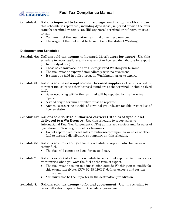

- Schedule 4: **Gallons imported to tax-exempt storage terminal by truck/rai**l Use this schedule to report fuel, including dyed diesel, imported outside the bulk transfer terminal system to an IRS registered terminal or refinery, by truck or rail.
	- You must list the destination terminal or refinery number.
	- The origin of the fuel must be from outside the state of Washington.

### <span id="page-11-0"></span>**Disbursements Schedules**

- Schedule 6A: **Gallons sold tax-exempt to licensed distributors for export** Use this schedule to report gallons sold tax-exempt to licensed distributors for export (including dyed fuel).
	- These sales must occur at an IRS registered Washington terminal.
	- The fuel must be exported immediately with no diversions.
	- It cannot be held in bulk storage in Washington prior to export.
- Schedule 6D: **Gallons sold tax-exempt to other licensed suppliers** Use this schedule to report fuel sales to other licensed suppliers at the terminal (including dyed fuel).
	- Sales occurring within the terminal will be reported by the Terminal Operator.
	- A valid origin terminal number must be reported.
	- Any sales occurring outside of terminal grounds are taxable, regardless of license status.
- Schedule 6F: **Gallons sold to IFTA authorized carriers OR sales of dyed diesel delivered to a WA licensee** - Use this schedule to report sales to International Fuel Tax Agreement (IFTA) authorized carriers and for sales of dyed diesel to Washington fuel tax licensees.
	- Do not report dyed diesel sales to unlicensed companies, or sales of other fuel to licensed distributors or suppliers on this schedule.
- Schedule 6Z: **Gallons sold for racing** Use this schedule to report motor fuel sales of racing fuel.
	- The fuel sold cannot be legal for on-road use.
- Schedule 7: **Gallons exported** Use this schedule to report fuel exported to other states or countries when you own the fuel at the time of export.
	- The fuel must be taken to a jurisdiction outside Washington to qualify for this exemption (Note: RCW 82.38.020(12) defines exports and certain limitations).
	- You must also be the importer in the destination jurisdiction.
- Schedule 8: **Gallons sold tax-exempt to federal government** Use this schedule to report all sales of special fuel to the federal government.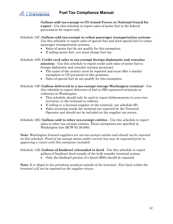

**Gallons sold tax-exempt to US Armed Forces or National Guard for export** - Use this schedule to report sales of motor fuel to the federal government for export only.

Schedule 10C: **Gallons sold tax-exempt to urban passenger transportation systems** -

Use this schedule to report sales of special fuel and dyed special fuel to urban passenger transportation systems.

- Sales of motor fuel do not qualify for this exemption.
- If selling motor fuel, you must charge fuel tax.

Schedule 10D: **Credit card sales to tax-exempt foreign diplomatic and consular** 

**missions** - Use this schedule to report credit card sales of motor fuel to foreign diplomatic and consular mission personnel.

- The name of the country must be reported and must offer a similar exemption to US personnel in like positions.
- Sales of special fuel do not qualify for this exemption.

Schedule 10F: **Gallons delivered to a tax-exempt storage Washington terminal** - Use this schedule to report deliveries of fuel to IRS registered terminals or refineries in Washington.

- This schedule should only be used to report disbursements to your own inventory in the terminal or refinery.
- If selling to a licensed supplier at the terminal, use schedule 6D.
- Sales occurring inside the terminal are reported by the Terminal Operator and should not be included on the supplier tax return.

Schedule 10G: **Gallons sold to other tax-exempt entities** - Use this schedule to report sales to other tax-exempt entities. These exemptions are specified in Washington law (RCW 82.38.080).

**Note**: *Washington licensed suppliers are not tax-exempt entities and should not be reported on this schedule. Proof of tax-exempt status under current law may be requested prior to approving a return with this exemption included.*

Schedule 13X: **Gallons of biodiesel rebranded to dyed** - Use this schedule to report

- gallons of biodiesel dyed outside of the bulk transfer terminal system.
- Only the biodiesel portion of a blend (B00) should be reported.

**Note**: *It is illegal to dye petroleum products outside of the terminal. Fuel dyed within the terminal will not be reported on the supplier return.*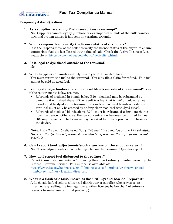

## <span id="page-13-0"></span>**Frequently Asked Questions**

**1. As a supplier, are all my fuel transactions tax-exempt?** 

No. Suppliers cannot legally purchase tax-exempt fuel outside of the bulk transfer terminal system unless it happens on terminal grounds.

- **2. Who is responsible to verify the license status of customers?** It is the responsibility of the seller to verify the license status of the buyer, to ensure appropriate fuel tax is collected at the time of sale. Check the Active Licensee List, available at: [https://www.dol.wa.gov/about/ftactivelists.html.](https://www.dol.wa.gov/about/ftactivelists.html)
- **3. Is it legal to dye diesel outside of the terminal?**  No.
- **4. What happens if I inadvertently mix dyed fuel with clear?**  You must return the fuel to the terminal. You may file a claim for refund. This fuel cannot be sold as dyed fuel.
- 5. **Is it legal to dye biodiesel and biodiesel blends outside of the terminal?** Yes, if the requirements below are met.
	- Rebrands of biodiesel in blends below B20 biodiesel may be rebranded by blending it with dyed diesel if the result is a fuel that is B20 or below. Since diesel must be dyed at the terminal, rebrands of biodiesel blends outside the terminal must only be created by adding clear biodiesel with dyed diesel.
	- Rebrands of biodiesel blends above B20 must be rebranded using a mechanical injection device. Otherwise, the dye concentration becomes too diluted to meet IRS requirements. The licensee may be asked to provide proof of purchase for the device.

**Note***: Only the clear biodiesel portion (B00) should be reported on the 13X schedule. However, the dyed diesel portion should also be reported on the appropriate receipt schedule*.

**6. Can I report book adjustments/stock transfers on the supplier return?** No. These adjustments can only be reported on the Terminal Operator report.

# **7. How do I report fuel disbursed to the refinery?** Report these disbursements on 10F, using the correct refinery number issued by the Internal Revenue Service. This number is available at: [https://www.irs.gov/businesses/small-businesses-self-employed/refinery-control](https://www.irs.gov/businesses/small-businesses-self-employed/refinery-control-number-rcn-refinery-location-directory)[number-rcn-refinery-location-directory.](https://www.irs.gov/businesses/small-businesses-self-employed/refinery-control-number-rcn-refinery-location-directory)

**8. What is a flash sale (also known as flash titling) and how do I report it?** A flash sale is fuel sold to a licensed distributor or supplier who serves as an intermediary, selling the fuel again to another licensee before the fuel enters or leaves a terminal (on terminal property.)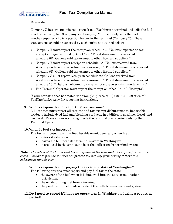

# **Example**:

Company X imports fuel via rail or truck to a Washington terminal and sells the fuel to a licensed supplier (Company Y). Company Y immediately sells the fuel to another supplier who is a position holder in the terminal (Company Z). These transactions should be reported by each entity as outlined below:

- Company X must report the receipt on schedule 4. "Gallons imported to taxexempt storage terminal by truck/rail." The disbursement is reported on schedule 6D "Gallons sold tax-exempt to other licensed suppliers."
- Company Y must report receipt on schedule 2A "Gallons received from Washington terminal or refineries tax-exempt." The disbursement is reported on schedule 6D "Gallons sold tax-exempt to other licensed suppliers."
- Company Z must report receipt on schedule 2A"Gallons received from Washington terminal or refineries tax-exempt." The disbursement is reported on schedule 10F "Gallons delivered to tax-exempt storage Washington terminal."
- The Terminal Operator must report the receipt on schedule 15A "Receipts".

If your scenario does not match the example, please call (360) 664-1852 or email: FuelTax@dol.wa.gov for reporting instructions.

# **9. Who is responsible for reporting transactions?**

All licensees must report all receipts and tax-exempt disbursements. Reportable products include dyed fuel and blending products, in addition to gasoline, diesel, and biodiesel. Transactions occurring inside the terminal are reported only by the Terminal Operator.

### **10. When is fuel tax imposed?**

The tax is imposed upon the first taxable event, generally when fuel:

- enters Washington.
- leaves the bulk transfer terminal system in Washington.
- is produced in the state outside of the bulk transfer terminal system.

**Note***: The intent of the law is that tax is imposed at the time and place of the first taxable event. Failure to pay the tax does not prevent tax liability from arising if there is a subsequent taxable event.* 

### **11. Who is responsible for paying the tax to the state of Washington?**

The following entities must report and pay fuel tax to the state:

- the owner of the fuel when it is imported into the state from another jurisdiction.
- the entity pulling fuel from a terminal.
- the producer of fuel made outside of the bulk transfer terminal system.

# **12. Do I need to report if I have no operations in Washington during a reporting period?**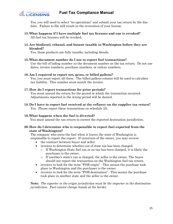

Yes, you will need to select "no operations" and submit your tax return by the due date. Failure to file will result in the revocation of your license.

- **13. What happens if I have multiple fuel tax licenses and one is revoked?** All fuel tax licenses will be revoked.
- **14. Are biodiesel, ethanol, and butane taxable in Washington before they are blended?**

Yes, these products are fully taxable, including blends.

**15. What document number do I use to report fuel transactions?**

Use the bill of lading number as the document number on the tax return. Do not use dates, invoice numbers, purchase numbers, or railcar numbers.

#### **16. Am I required to report net, gross, or billed gallons?**

Yes, you must report all three. The billed gallons column will be used to calculate tax liability. This number must match the invoice.

#### **17. How do I report transactions for prior periods?**

You must amend the return for the period in which the transaction occurred. Adjustments reported in the wrong period will be denied.

**18. Do I have to report fuel received at the refinery on the supplier tax return?** Yes. Please report these transactions on schedule 2A.

### **19. What happens when the fuel is diverted?**

You must amend the tax return to correct the reported destination jurisdiction.

#### **20. How do I determine who is responsible to report fuel exported from the state of Washington?**

The company who owns the fuel when it leaves the state of Washington is responsible to report the export. If uncertain of the owner, you may review:

- the contract between buyer and seller.
- invoices to determine whether out of state tax has been charged.
	- o If Washington State fuel tax or no tax has been charged, it is likely the purchaser is the owner.
	- o If another's state's tax is charged, the seller is the owner. The buyer should not report the transaction on the Washington fuel tax return.
- invoices to look for the term "FOB origin" This means the purchase took place in Washington and the purchaser is the owner.
- invoices to look for the term "FOB destination" This means the purchase took place in another state and the seller is the owner.

**Note***: The exporter in the origin jurisdiction must be the importer in the destination jurisdiction. Fuel cannot change hands at the border.*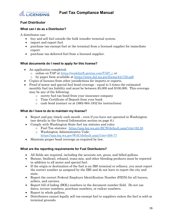

# <span id="page-16-0"></span>**Fuel Distributor**

# <span id="page-16-1"></span>**What can I do as a Distributor?**

A distributor can:

- buy and sell fuel outside the bulk transfer terminal system.
- import and export fuel.
- purchase tax-exempt fuel at the terminal from a licensed supplier for immediate export.
- purchase tax-deferred fuel from a licensed supplier.

# <span id="page-16-2"></span>**What documents do I need to apply for this license?**

- An application completed:
	- o online on TAP at [https://wadolprft.gentax.com/TAP/\\_/,](https://wadolprft.gentax.com/TAP/_/) or
	- o by paper form available at [https://www.dol.wa.gov/forms/441750.pdf.](https://www.dol.wa.gov/forms/441750.pdf)
- Copies of licenses from other jurisdictions for imports or exports.
- Proof of motor and special fuel bond coverage equal to 3 times the estimated monthly fuel tax liability and must be between \$5,000 and \$100,000. This coverage may be any of the following:
	- o surety fuel tax bond from your insurance company
	- o Time Certificate of Deposit from your bank
	- o cash bond (contact us at (360) 664-1852 for instructions)

# <span id="page-16-3"></span>**What do I have to do to maintain my license?**

- Report and pay timely each month even if you have not operated in Washington (see details in the General Information section on page 6.)
- Comply with Washington State fuel tax statutes and rules
	- o Fuel Tax statutes: <https://app.leg.wa.gov/RCW/default.aspx?cite=82.38>
	- o Washington Administrative Code: <https://app.leg.wa.gov/WAC/default.aspx?cite=308-77>
- Maintain proper bond coverage as required by law.

# <span id="page-16-4"></span>**What are the reporting requirements for Fuel Distributors?**

- All fields are required, including the accurate net, gross, and billed gallons.
- Butane, biodiesel, ethanol, trans-mix, and other blending products must be reported in addition to all motor and special fuel.
- If the origin or destination of the fuel is an IRS terminal or refinery, you must report the correct number as assigned by the IRS and do not have to report the city and state.
- Report the correct Federal Employer Identification Number (FEIN) for all buyers, sellers, and carriers.
- Report bill of lading (BOL) numbers in the document number field. Do not use dates, invoice numbers, purchase numbers, or railcar numbers.
- Report in whole gallons.
- Distributors cannot legally sell tax-exempt fuel to suppliers unless the fuel is sold on terminal grounds.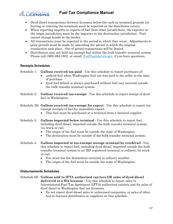

- Dyed diesel transactions between licensees below the rack on terminal grounds (or leaving or entering the terminal) must be reported on the distributor return.
- When reporting imports or exports of fuel from other jurisdictions, the exporter in the origin jurisdiction must be the importer in the destination jurisdiction. Fuel cannot change hands at the border.
- All transactions must be reported in the period in which they occur. Adjustments to prior periods must be made by amending the period in which the original transaction took place. Out of period transactions will be denied.
- Distributors may not hold tax-exempt fuel within the bulk transfer terminal system. Please call (360) 664-1852 or email: [FuelTax@dol.wa.gov,](mailto:FuelTax@dol.wa.gov) if you have questions.

# <span id="page-17-0"></span>**Receipts Schedules**

Schedule 1: **Gallons received tax paid** - Use this schedule to report purchases of:

- undyed fuel when Washington fuel tax was paid to the seller at the time of purchase.
- dyed fuel (which is always purchased without fuel tax) received outside the bulk transfer terminal system.
- Schedule 2: **Gallons received tax-exempt** Use this schedule to report receipt of dyed fuel in Washington.
- Schedule 2E: **Gallons received tax-exempt for export** Use this schedule to report taxexempt receipts of fuel for immediate export.
	- This fuel must be purchased at a terminal from a licensed supplier.
- Schedule 3: **Gallons imported below terminal** Use this schedule to report fuel, including dyed diesel, imported outside the bulk transfer terminal system, via truck or rail.
	- The origin of the fuel must be outside the state of Washington.
	- The destination must be outside of the bulk transfer terminal system.
- Schedule 4: **Gallons imported to tax-exempt storage terminal by truck/rail** Use this schedule to report fuel, including dyed diesel, imported outside the bulk transfer terminal system to an IRS registered terminal or refinery, by truck or rail.
	- You must list the destination terminal or refinery number.
	- The origin of the fuel must be outside the state of Washington.

# <span id="page-17-1"></span>**Disbursements Schedules**

Schedule 6F: **Gallons sold to IFTA authorized carriers OR sales of dyed diesel delivered to a WA licensee** - Use this schedule to report sales to International Fuel Tax Agreement (IFTA) authorized carriers and for sales of dyed diesel to Washington fuel tax licensees.

• Do not report dyed diesel sales to unlicensed companies, or sales of other fuel to licensed distributors or suppliers on this schedule.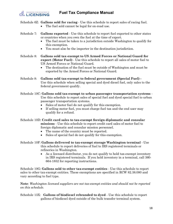

Schedule 6Z: **Gallons sold for racing** - Use this schedule to report sales of racing fuel.

- The fuel sold cannot be legal for on-road use.
- Schedule 7: **Gallons exported** Use this schedule to report fuel exported to other states or countries when you own the fuel at the time of export.
	- The fuel must be taken to a jurisdiction outside Washington to qualify for this exemption.
	- You must also be the importer in the destination jurisdiction.
- Schedule 8: **Gallons sold tax**-**exempt to US Armed Forces or National Guard for export** (**Motor Fuel)** - Use this schedule to report all sales of motor fuel to US Armed Forces or National Guard.
	- The destination of the fuel must be outside of Washington and must be exported by the Armed Forces or National Guard.
- Schedule 8: **Gallons sold tax-exempt to federal government (Special Fuel) -** Use this schedule when selling special and dyed diesel fuel, only sales to the federal government qualify.
- Schedule 10C: **Gallons sold tax-exempt to urban passenger transportation systems** Use this schedule to report sales of special fuel and dyed special fuel to urban passenger transportation systems.
	- Sales of motor fuel do not qualify for this exemption.
	- If selling motor fuel, you must charge fuel tax and the end user may qualify for a refund.

Schedule 10D: **Credit card sales to tax-exempt foreign diplomatic and consular missions** - Use this schedule to report credit card sales of motor fuel to foreign diplomatic and consular mission personnel.

- The name of the country must be reported.
- Sales of special fuel do not qualify for this exemption.
- Schedule 10F: **Gallons delivered to tax-exempt storage Washington terminal** Use this schedule to report deliveries of fuel to IRS registered terminals or refineries in Washington.
	- As a licensed distributor, you do not qualify to hold tax-exempt inventory in IRS registered terminals. If you hold inventory in a terminal, call 360- 664-1852 for reporting instructions.

Schedule 10G: **Gallons sold to other tax-exempt entities** - Use this schedule to report sales to other tax-exempt entities. These exemptions are specified in RCW 82.38.080 and vary according to fuel type.

**Note**: *Washington licensed suppliers are not tax-exempt entities and should not be reported on this schedule.*

Schedule 13X: **Gallons of biodiesel rebranded to dyed** - Use this schedule to report gallons of biodiesel dyed outside of the bulk transfer terminal system.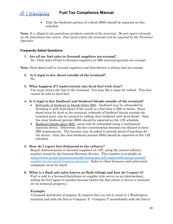

• Only the biodiesel portion of a blend (B00) should be reported on this schedule.

**Note**: *It is illegal to dye petroleum products outside of the terminal. Do not report rebrands on the distributor tax return. Fuel dyed within the terminal will be reported by the Terminal Operator.* 

### <span id="page-19-0"></span>**Frequently Asked Questions**

**1. Are all my fuel sales to licensed suppliers tax-exempt?**  No. Only sales of fuel to licensed suppliers on IRS terminal grounds are exempt.

**Note**: *Dyed diesel sold to licensed suppliers and distributors is always fuel tax exempt.*

- **2. Is it legal to dye diesel outside of the terminal?**  No.
- **3. What happens if I inadvertently mix dyed fuel with clear?**  You must return the fuel to the terminal. You may file a claim for refund. This fuel cannot be sold as dyed fuel.

### **4. Is it legal to dye biodiesel and biodiesel blends outside of the terminal?**

- Rebrands of biodiesel in blends below B20 biodiesel may be rebranded by blending it with dyed diesel if the result is a fuel that is B20 or below. Since diesel must be dyed at the terminal, rebrands of biodiesel blends outside the terminal must only be created by adding clear biodiesel with dyed diesel. Only the clear biodiesel portion (B00) should be reported on the 13X schedule.
- Biodiesel blends above B20 must only be rebranded using a mechanical injection device. Otherwise, the dye concentration becomes too diluted to meet IRS requirements. The licensee may be asked to provide proof of purchase for the device. Only the clear biodiesel portion (B00) should be reported on the 13X schedule.

### **5. How do I report fuel disbursed to the refinery?**

Report disbursements to licensed suppliers on 10F, using the correct refinery number issued by the Internal Revenue Service. This number is available at: [https://www.irs.gov/businesses/small-businesses-self-employed/terminal-control](https://www.irs.gov/businesses/small-businesses-self-employed/terminal-control-number-tcn-terminal-locations-directory)[number-tcn-terminal-locations-directory.](https://www.irs.gov/businesses/small-businesses-self-employed/terminal-control-number-tcn-terminal-locations-directory) Sales to other licensees and unlicensed companies must be taxed.

**6. What is a flash sale (also known as flash titling) and how do I report it?** Fuel is sold to a licensed distributor or supplier who serves as an intermediary, selling the fuel again to another licensee before the fuel enters or leaves a terminal (or on terminal property.)

# **Example**:

A licensed distributor (Company X) imports fuel via rail or truck to a Washington terminal and sells the fuel to Company Y. Company Y immediately sells the fuel to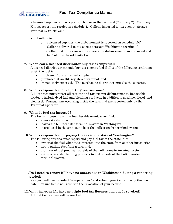

a licensed supplier who is a position holder in the terminal (Company Z). Company X must report the receipt on schedule 4. "Gallons imported to tax-exempt storage terminal by truck/rail."

- If selling to:
	- o a licensed supplier, the disbursement is reported on schedule 10F "Gallons delivered to tax-exempt storage Washington terminal."
	- o another distributor (or non-licensee,) the disbursement isn't reported and the fuel must be sold with tax.

# **7. When can a licensed distributor buy tax-exempt fuel?**

A licensed distributor can only buy tax-exempt fuel if all 3 of the following conditions exist, the fuel is:

- purchased from a licensed supplier,
- purchased at an IRS registered terminal, and.
- immediately exported. (The purchasing distributor must be the exporter.)

# **8. Who is responsible for reporting transactions?**

All licensees must report all receipts and tax-exempt disbursements. Reportable products include dyed fuel and blending products, in addition to gasoline, diesel, and biodiesel. Transactions occurring inside the terminal are reported only by the Terminal Operator.

### 9. **When is fuel tax imposed?**

The tax is imposed upon the first taxable event, when fuel:

- enters Washington.
- leaves the bulk transfer terminal system in Washington.
- is produced in the state outside of the bulk transfer terminal system.

# **10. Who is responsible for paying the tax to the state of Washington?**

The following entities must report and pay fuel tax to the state, the:

- owner of the fuel when it is imported into the state from another jurisdiction.
- entity pulling fuel from a terminal.
- producer of fuel produced outside of the bulk transfer terminal system.
- entity who adds blending products to fuel outside of the bulk transfer terminal system.

### **11. Do I need to report if I have no operations in Washington during a reporting period?**

Yes, you will need to select "no operations" and submit your tax return by the due date. Failure to file will result in the revocation of your license.

# **12. What happens if I have multiple fuel tax licenses and one is revoked?**

All fuel tax licenses will be revoked.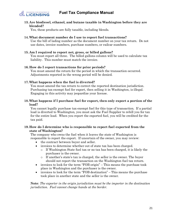

**13. Are biodiesel, ethanol, and butane taxable in Washington before they are blended?**

Yes, these products are fully taxable, including blends.

### **14. What document number do I use to report fuel transactions?**

Use the bill of lading number as the document number on your tax return. Do not use dates, invoice numbers, purchase numbers, or railcar numbers.

#### **15. Am I required to report net, gross, or billed gallons?**

You must report all three. The billed gallons column will be used to calculate tax liability. This number must match the invoice.

#### **16. How do I report transactions for prior periods?**

You must amend the return for the period in which the transaction occurred. Adjustments reported in the wrong period will be denied.

#### **17. What happens when the fuel is diverted?**

You must amend the tax return to correct the reported destination jurisdiction. Purchasing tax-exempt fuel for export, then selling it in Washington, is illegal. Engaging in this activity may jeopardize your license.

#### **18. What happens if I purchase fuel for export, then only export a portion of the load?**

You cannot legally purchase tax-exempt fuel for this type of transaction. If a partial load is diverted to Washington, you must ask the Fuel Supplier to rebill you for tax for the entire load. When you report the exported fuel, you will be credited for the tax paid.

### **19. How do I determine who is responsible to report fuel exported from the state of Washington?**

The company who owns the fuel when it leaves the state of Washington is responsible to report the export. If uncertain of the owner, you may review:

- the contract between buyer and seller.
- invoices to determine whether out of state tax has been charged.
	- o If Washington State fuel tax or no tax has been charged, it is likely the purchaser is the owner.
	- o If another's state's tax is charged, the seller is the owner. The buyer should not report the transaction on the Washington fuel tax return.
- invoices to look for the term "FOB origin" This means the purchase took place in Washington and the purchaser is the owner.
- invoices to look for the term "FOB destination" This means the purchase took place in another state and the seller is the owner.

**Note**: *The exporter in the origin jurisdiction must be the importer in the destination jurisdiction. Fuel cannot change hands at the border.*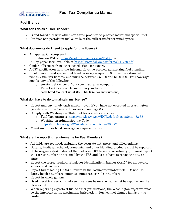

# <span id="page-22-0"></span>**Fuel Blender**

# <span id="page-22-1"></span>**What can I do as a Fuel Blender?**

- Blend taxed fuel with other non-taxed products to produce motor and special fuel.
- Produce non-petroleum fuel outside of the bulk transfer terminal system.

# <span id="page-22-2"></span>**What documents do I need to apply for this license?**

- An application completed:
	- o online on TAP at [https://wadolprft.gentax.com/TAP/\\_/,](https://wadolprft.gentax.com/TAP/_/) or
	- o by paper form available at [https://www.dol.wa.gov/forms/441750.pdf.](https://www.dol.wa.gov/forms/441750.pdf)
- Copies of licenses from other jurisdictions for export.
- A 637 certification from the Internal Revenue Service, authorizing fuel blending.
- Proof of motor and special fuel bond coverage equal to 3 times the estimated monthly fuel tax liability and must be between \$5,000 and \$100,000. This coverage may be any of the following:
	- o surety fuel tax bond from your insurance company
	- o Time Certificate of Deposit from your bank
	- o cash bond (contact us at 360-664-1852 for instructions)

# <span id="page-22-3"></span>**What do I have to do to maintain my license?**

- Report and pay timely each month even if you have not operated in Washington (see details in the General Information on page 6.)
- Comply with Washington State fuel tax statutes and rules
	- o Fuel Tax statutes: <https://app.leg.wa.gov/RCW/default.aspx?cite=82.38>
	- o Washington Administrative Code: <https://app.leg.wa.gov/WAC/default.aspx?cite=308-77>
- Maintain proper bond coverage as required by law.

### <span id="page-22-4"></span>**What are the reporting requirements for Fuel Blenders?**

- All fields are required, including the accurate net, gross, and billed gallons.
- Butane, biodiesel, ethanol, trans-mix, and other blending products must be reported.
- If the origin or destination of the fuel is an IRS terminal or refinery, you must report the correct number as assigned by the IRS and do not have to report the city and state.
- Report the correct Federal Employer Identification Number (FEIN) for all buyers, sellers, and carriers.
- Report bill of lading (BOL) numbers in the document number field. Do not use dates, invoice numbers, purchase numbers, or railcar numbers.
- Report in whole gallons.
- Dyed diesel transactions between licensees below the rack must be reported on the blender return.
- When reporting exports of fuel to other jurisdictions, the Washington exporter must be the importer in the destination jurisdiction. Fuel cannot change hands at the border.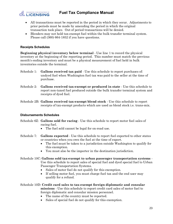

- All transactions must be reported in the period in which they occur. Adjustments to prior periods must be made by amending the period in which the original transaction took place. Out of period transactions will be denied.
- Blenders may not hold tax-exempt fuel within the bulk transfer terminal system. Please call (360) 664-1852 if you have questions.

### <span id="page-23-0"></span>**Receipts Schedules**

**Beginning physical inventory below terminal** - Use line 1 to record the physical inventory at the beginning of the reporting period. This number must match the previous month's ending inventory and must be a physical measurement of fuel held in bulk inventories outside the terminal.

- Schedule 1: **Gallons received tax paid** Use this schedule to report purchases of: undyed fuel when Washington fuel tax was paid to the seller at the time of purchase.
- Schedule 2: **Gallons received tax-exempt or produced in state** Use this schedule to report non-taxed fuel produced outside the bulk transfer terminal system and receipts of dyed fuel.
- Schedule 2B: **Gallons received tax-exempt blend stock** Use this schedule to report receipts of tax-exempt products which are used as blend stock i.e. trans-mix.

### <span id="page-23-1"></span>**Disbursements Schedules**

- Schedule 6Z: **Gallons sold for racing** Use this schedule to report motor fuel sales of racing fuel.
	- The fuel sold cannot be legal for on-road use.
- Schedule 7: **Gallons exported** Use this schedule to report fuel exported to other states or countries when you own the fuel at the time of export.
	- The fuel must be taken to a jurisdiction outside Washington to qualify for this exemption.
	- You must also be the importer in the destination jurisdiction.
- Schedule 10C: **Gallons sold tax-exempt to urban passenger transportation systems** Use this schedule to report sales of special fuel and dyed special fuel to Urban Passenger Transportation Systems.
	- Sales of motor fuel do not qualify for this exemption.
	- If selling motor fuel, you must charge fuel tax and the end user may qualify for a refund.

# Schedule 10D: **Credit card sales to tax-exempt foreign diplomatic and consular missions** - Use this schedule to report credit card sales of motor fuel to foreign diplomatic and consular mission personnel.

- The name of the country must be reported.
- Sales of special fuel do not qualify for this exemption.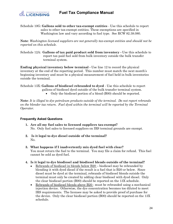

Schedule 10G: **Gallons sold to other tax-exempt entities** - Use this schedule to report sales to other tax-exempt entities. These exemptions are specified in Washington law and vary according to fuel type. See RCW 82.38.080.

**Note**: *Washington licensed suppliers are not generally tax-exempt entities and should not be reported on this schedule.*

Schedule 12A: **Gallons of tax paid product sold from inventory -** Use this schedule to report tax paid fuel sold from bulk inventory outside the bulk transfer terminal system.

**Ending physical inventory below terminal -** Use line 12 to record the physical inventory at the end of the reporting period. This number must match the next month's beginning inventory and must be a physical measurement of fuel held in bulk inventories outside the terminal.

Schedule 13X: **Gallons of biodiesel rebranded to dyed** - Use this schedule to report gallons of biodiesel dyed outside of the bulk transfer terminal system.

• Only the biodiesel portion of a blend (B00) should be reported.

**Note**: *It is illegal to dye petroleum products outside of the terminal. Do not report rebrands on the blender tax return. Fuel dyed within the terminal will be reported by the Terminal Operator.* 

# <span id="page-24-0"></span>**Frequently Asked Questions**

- **1. Are all my fuel sales to licensed suppliers tax-exempt?**  No. Only fuel sales to licensed suppliers on IRS terminal grounds are exempt.
- **2. Is it legal to dye diesel outside of the terminal?**  No.
- **3. What happens if I inadvertently mix dyed fuel with clear?**  You must return the fuel to the terminal. You may file a claim for refund. This fuel cannot be sold as dyed fuel.
- **4. Is it legal to dye biodiesel and biodiesel blends outside of the terminal?** 
	- Rebrands of biodiesel in blends below B20 biodiesel may be rebranded by blending it with dyed diesel if the result is a fuel that is B20 or below. Since diesel must be dyed at the terminal, rebrands of biodiesel blends outside the terminal must only be created by adding clear biodiesel with dyed diesel. Only the clear biodiesel portion (B00) should be reported on the 13X schedule.
	- Rebrands of biodiesel blends above B20 must be rebranded using a mechanical injection device. Otherwise, the dye concentration becomes too diluted to meet IRS requirements. The licensee may be asked to provide proof of purchase for the device. Only the clear biodiesel portion (B00) should be reported on the 13X schedule.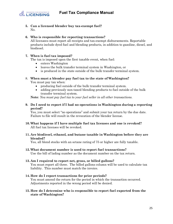



**5. Can a licensed blender buy tax-exempt fuel?**  No.

# **6. Who is responsible for reporting transactions?**

All licensees must report all receipts and tax-exempt disbursements. Reportable products include dyed fuel and blending products, in addition to gasoline, diesel, and biodiesel.

# **7. When is fuel tax imposed?**

The tax is imposed upon the first taxable event, when fuel:

- enters Washington
- leaves the bulk transfer terminal system in Washington, or
- is produced in the state outside of the bulk transfer terminal system.

### 8. **When must a blender pay fuel tax to the state of Washington?**

You must pay tax when:

- producing fuel outside of the bulk transfer terminal system.
- adding previously non-taxed blending products to fuel outside of the bulk transfer terminal system.

**Note**: *You must pay fuel tax to your fuel seller in all other transactions.*

### **9. Do I need to report if I had no operations in Washington during a reporting period?**

Yes, you must select "no operations" and submit your tax return by the due date. Failure to file will result in the revocation of the blender license.

- **10. What happens if I have multiple fuel tax licenses and one is revoked?** All fuel tax licenses will be revoked.
- **11. Are biodiesel, ethanol, and butane taxable in Washington before they are blended?**

Yes, all blend stocks with an octane rating of 75 or higher are fully taxable.

### **12. What document number is used to report fuel transactions?**

Use the bill of lading number as the document number on the tax return.

#### **13. Am I required to report net, gross, or billed gallons?**

You must report all three. The billed gallons column will be used to calculate tax liability. This number must match the invoice.

- **14. How do I report transactions for prior periods?** You must amend the return for the period in which the transaction occurred. Adjustments reported in the wrong period will be denied.
- **15. How do I determine who is responsible to report fuel exported from the state of Washington?**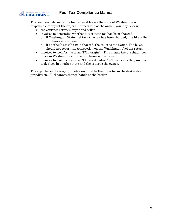

The company who owns the fuel when it leaves the state of Washington is responsible to report the export. If uncertain of the owner, you may review:

- the contract between buyer and seller.
- invoices to determine whether out of state tax has been charged.
	- o If Washington State fuel tax or no tax has been charged, it is likely the purchaser is the owner.
	- o If another's state's tax is charged, the seller is the owner. The buyer should not report the transaction on the Washington fuel tax return.
- invoices to look for the term "FOB origin" This means the purchase took place in Washington and the purchaser is the owner.
- invoices to look for the term "FOB destination" This means the purchase took place in another state and the seller is the owner.

The exporter in the origin jurisdiction must be the importer in the destination jurisdiction. Fuel cannot change hands at the border.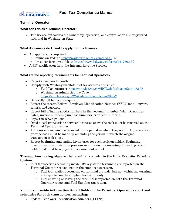

# <span id="page-27-0"></span>**Terminal Operator**

# <span id="page-27-1"></span>**What can I do as a Terminal Operator?**

• The license authorizes the ownership, operation, and control of an IRS registered terminal in Washington State.

# <span id="page-27-2"></span>**What documents do I need to apply for this license?**

- An application completed:
	- o online on TAP at [https://wadolprft.gentax.com/TAP/\\_/,](https://wadolprft.gentax.com/TAP/_/) or
	- o by paper form available at [https://www.dol.wa.gov/forms/441750.pdf.](https://www.dol.wa.gov/forms/441750.pdf)
- A 637 certification from the Internal Revenue Service.

# <span id="page-27-3"></span>**What are the reporting requirements for Terminal Operators?**

- Report timely each month.
- Comply with Washington State fuel tax statutes and rules.
	- o Fuel Tax statutes: <https://app.leg.wa.gov/RCW/default.aspx?cite=82.38>
	- o Washington Administrative Code: <https://app.leg.wa.gov/WAC/default.aspx?cite=308-77>
- Generally, all fields are required.
- Report the correct Federal Employer Identification Number (FEIN) for all buyers, sellers, and carriers.
- Report bill of lading (BOL) numbers in the document number field. Do not use dates, invoice numbers, purchase numbers, or railcar numbers.
- Report in whole gallons.
- Dyed diesel transactions between licensees above the rack must be reported on the Terminal Operator return.
- All transactions must be reported in the period in which they occur. Adjustments to prior periods must be made by amending the period in which the original transaction took place.
- Report beginning and ending inventories for each position holder. Beginning inventories must match the previous month's ending inventory for each position holder and must be a physical measurement of fuel.

# **Transactions taking place at the terminal and within the Bulk Transfer Terminal System:**

- Fuel transactions occurring inside IRS registered terminals are reported on the Terminal Operator report, not on the supplier tax return.
	- o Fuel transactions occurring on terminal grounds, but not within the terminal, are reported on the supplier tax return only.
	- o Fuel entering or leaving the terminal is reported on both the Terminal Operator report and Fuel Supplier tax return.

# **You must provide information for all fields on the Terminal Operator report and schedules for each transaction, including:**

• Federal Employer Identification Numbers (FEINs)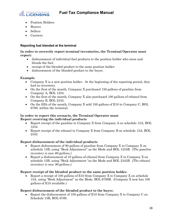

- **WASHINGTON STATE DEPARTMENT OF LICENSING** 
	- Position Holders
	- Buyers
	- Sellers
	- Carriers

# <span id="page-28-0"></span>**Reporting fuel blended at the terminal**

**In order to correctly report terminal inventories, the Terminal Operator must report:**

- disbursement of individual fuel products to the position holder who owns and blends the fuel.
- receipt of the blended product to the same position holder.
- disbursement of the blended product to the buyer.

# **Example**:

- Company X is a new position holder. At the beginning of the reporting period, they had no inventory.
- On the first of the month, Company X purchased 150 gallons of gasoline from Company A, BOL 1234.
- On the first of the month, Company X also purchased 100 gallons of ethanol from Company B, BOL 2345.
- On the fifth of the month, Company X sold 100 gallons of E10 to Company C, BOL 6789, within the terminal.

# **In order to report this scenario, the Terminal Operator must**: **Report receiving the individual products**

- Report receipt of the gasoline to Company X from Company A on schedule 15A, BOL 1234.
- Report receipt of the ethanol to Company X from Company B on schedule 15A, BOL 2345.

# **Report disbursement of the individual products**

- Report disbursement of 90 gallons of gasoline from Company X to Company X on schedule 15B, using "Book Adjustment" as the Mode and BOL 1234B. *(The gasoline inventory is now 60 gallons.)*
- Report a disbursement of 10 gallons of ethanol from Company X to Company X on schedule 15B, using "Book Adjustment "as the Mode and BOL 2345B. *(The ethanol inventory is now 90 gallons.)*

# **Report receipt of the blended product to the same position holder.**

• Report a receipt of 100 gallons of E10 from Company X to Company X on schedule 15A, using "Book Adjustment" as the Mode, BOL 6789B. (Company X now has 100 gallons of E10 available.)

# **Report disbursement of the blended product to the buyer.**

• Report the disbursement of 100 gallons of E10 from Company X to Company C on Schedule 15B, BOL 6789.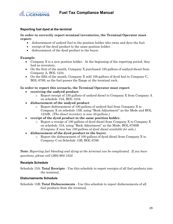



# <span id="page-29-0"></span>**Reporting fuel dyed at the terminal**

### **In order to correctly report terminal inventories, the Terminal Operator must report:**

- disbursement of undyed fuel to the position holder who owns and dyes the fuel.
- receipt of the dyed product to the same position holder.
- disbursement of the dyed product to the buyer.

# **Example**:

- Company X is a new position holder. At the beginning of the reporting period, they had no inventory.
- On the first of the month, Company X purchased 150 gallons of undyed diesel from Company A, BOL 1234.
- On the fifth of the month, Company X sold 100 gallons of dyed fuel to Company C, BOL 6789, as the fuel passes the flange at the terminal rack.

### **In order to report this scenario, the Terminal Operator must report**:

- **receiving the undyed product**
	- o Report receipt of 150 gallons of undyed diesel to Company X from Company A on schedule 15A, BOL 1234.
- **disbursement of the undyed product**
	- o Report disbursement of 100 gallons of undyed fuel from Company X to Company X on schedule 15B, using "Book Adjustment" as the Mode and BOL 1234B. *(The diesel inventory is now 50 gallons.)*
- **receipt of the dyed product to the same position holder.**
	- o Report a receipt of 100 gallons of dyed diesel from Company X to Company X on schedule 15A, using "Book Adjustment" as the Mode, BOL 6789B. *(Company X now has 100 gallons of dyed diesel available for sale.)*
- **disbursement of the dyed product to the buyer.** 
	- $\circ$  Report the disbursement of 100 gallons of dyed diesel from Company X to Company C on Schedule 15B, BOL 6789.

**Note**: *Reporting fuel blending and dying at the terminal can be complicated. If you have questions, please call (360) 664-1852.*

### <span id="page-29-1"></span>**Receipts Schedule**

Schedule 15A: **Total Receipts** - Use this schedule to report receipts of all fuel products into the terminal.

### <span id="page-29-2"></span>**Disbursements Schedule**

Schedule 15B: **Total Disbursements** - Use this schedule to report disbursements of all fuel products from the terminal.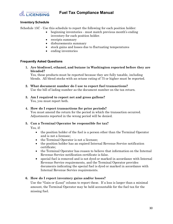

### <span id="page-30-0"></span>**Inventory Schedule**

Schedule 15C - Use this schedule to report the following for each position holder:

- beginning inventories must match previous month's ending inventory for each position holder.
- receipts summary
- disbursements summary
- stock gains and losses due to fluctuating temperatures
- ending inventories

#### <span id="page-30-1"></span>**Frequently Asked Questions**

**1. Are biodiesel, ethanol, and butane in Washington reported before they are blended?**

Yes, these products must be reported because they are fully taxable, including blends. All blend stocks with an octane rating of 75 or higher must be reported.

- **2. What document number do I use to report fuel transactions?** Use the bill of lading number as the document number on the tax return.
- **3. Am I required to report net and gross gallons?** Yes, you must report both.

#### **4. How do I report transactions for prior periods?**

You must amend the return for the period in which the transaction occurred. Adjustments reported in the wrong period will be denied.

### **5. Can a Terminal Operator be responsible for tax?**

Yes, if:

- the position holder of the fuel is a person other than the Terminal Operator and is not a licensee;
- the Terminal Operator is not a licensee;
- the position holder has an expired Internal Revenue Service notification certificate;
- the Terminal Operator has reason to believe that information on the Internal Revenue Service notification certificate is false.
- special fuel is removed and is not dyed or marked in accordance with Internal Revenue Service requirements, and the Terminal Operator provides documents indicating the special fuel is dyed or marked in accordance with Internal Revenue Service requirements.

### **6. How do I report inventory gains and/or losses?**

Use the "Gain or (Loss)" column to report these. If a loss is larger than a minimal amount, the Terminal Operator may be held accountable for the fuel tax for the missing fuel.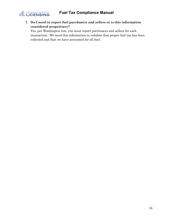

**7. Do I need to report fuel purchasers and sellers or is this information considered proprietary?** 

Yes, per Washington law, you must report purchasers and sellers for each transaction. We need this information to validate that proper fuel tax has been collected and that we have accounted for all fuel.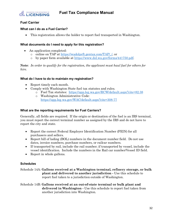

# <span id="page-32-0"></span>**Fuel Carrier**

# <span id="page-32-1"></span>**What can I do as a Fuel Carrier?**

• This registration allows the holder to report fuel transported in Washington.

# <span id="page-32-2"></span>**What documents do I need to apply for this registration?**

- An application completed:
	- o online on TAP at [https://wadolprft.gentax.com/TAP/\\_/,](https://wadolprft.gentax.com/TAP/_/) or
	- o by paper form available at [https://www.dol.wa.gov/forms/441750.pdf.](https://www.dol.wa.gov/forms/441750.pdf)

**Note**: *In order to qualify for the registration, the applicant must haul fuel for others for hire.*

# <span id="page-32-3"></span>**What do I have to do to maintain my registration?**

- Report timely each month.
- Comply with Washington State fuel tax statutes and rules.
	- o Fuel Tax statutes: <https://app.leg.wa.gov/RCW/default.aspx?cite=82.38>
		- o Washington Administrative Code: <https://app.leg.wa.gov/WAC/default.aspx?cite=308-77>

# <span id="page-32-4"></span>**What are the reporting requirements for Fuel Carriers?**

Generally, all fields are required. If the origin or destination of the fuel is an IRS terminal, you must report the correct terminal number as assigned by the IRS and do not have to report the city and state.

- Report the correct Federal Employer Identification Number (FEIN) for all purchasers and sellers.
- Report bill of lading (BOL) numbers in the document number field. Do not use dates, invoice numbers, purchase numbers, or railcar numbers.
- If transported by rail, include the rail number; if transported by vessel, include the vessel identification. Include the numbers in the Rail car number/Vessel ID field.
- Report in whole gallons.

### <span id="page-32-5"></span>**Schedules**

Schedule 14A: **Gallons received at a Washington terminal, refinery storage, or bulk plant and delivered to another jurisdiction -** Use this schedule to report fuel taken to a jurisdiction outside of Washington.

Schedule 14B: **Gallons received at an out-of-state terminal or bulk plant and delivered in Washington -** Use this schedule to report fuel taken from another jurisdiction into Washington.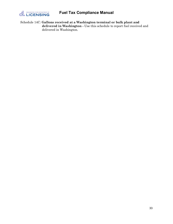

Schedule 14C: **Gallons received at a Washington terminal or bulk plant and delivered in Washington -** Use this schedule to report fuel received and delivered in Washington.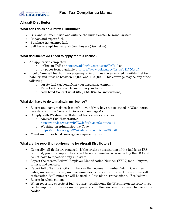

# <span id="page-34-0"></span>**Aircraft Distributor**

# <span id="page-34-1"></span>**What can I do as an Aircraft Distributor?**

- Buy and sell fuel inside and outside the bulk transfer terminal system.
- Import and export fuel.
- Purchase tax-exempt fuel.
- Sell tax-exempt fuel to qualifying buyers (See below).

# <span id="page-34-2"></span>**What documents do I need to apply for this license?**

- An application completed:
	- o online on TAP at [https://wadolprft.gentax.com/TAP/\\_/,](https://wadolprft.gentax.com/TAP/_/) or
	- o by paper form available at [https://www.dol.wa.gov/forms/441750.pdf.](https://www.dol.wa.gov/forms/441750.pdf)
- Proof of aircraft fuel bond coverage equal to 3 times the estimated monthly fuel tax liability and must be between \$5,000 and \$100,000. This coverage may be any of the following:
	- o surety fuel tax bond from your insurance company
	- o Time Certificate of Deposit from your bank
	- o cash bond (contact us at (360) 664-1852 for instructions)

### <span id="page-34-3"></span>**What do I have to do to maintain my license?**

- Report and pay timely each month even if you have not operated in Washington (see details in the General Information on page 6.)
- Comply with Washington State fuel tax statutes and rules
	- o Aircraft Fuel Tax statutes: <https://app.leg.wa.gov/RCW/default.aspx?cite=82.42>
	- o Washington Administrative Code: <https://app.leg.wa.gov/WAC/default.aspx?cite=308-78>
- Maintain proper bond coverage as required by law.

### <span id="page-34-4"></span>**What are the reporting requirements for Aircraft Distributors?**

- Generally, all fields are required. If the origin or destination of the fuel is an IRS terminal, you must report the correct terminal number as assigned by the IRS and do not have to report the city and state.
- Report the correct Federal Employer Identification Number (FEIN) for all buyers, sellers, and carriers.
- Report bill of lading (BOL) numbers in the document number field. Do not use dates, invoice numbers, purchase numbers, or railcar numbers. However, aircraft registration (tail) numbers will be used in "into plane" transactions. (See below.)
- Report in whole gallons.
- When reporting exports of fuel to other jurisdictions, the Washington exporter must be the importer in the destination jurisdiction. Fuel ownership cannot change at the border.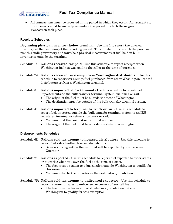

• All transactions must be reported in the period in which they occur. Adjustments to prior periods must be made by amending the period in which the original transaction took place.

# <span id="page-35-0"></span>**Receipts Schedules**

**Beginning physical inventory below terminal** - Use line 1 to record the physical inventory at the beginning of the reporting period. This number must match the previous month's ending inventory and must be a physical measurement of fuel held in bulk inventories outside the terminal.

- Schedule 1: **Gallons received tax paid** Use this schedule to report receipts when Washington fuel tax was paid to the seller at the time of purchase.
- Schedule 2A: **Gallons received tax-exempt from Washington distributors** Use this schedule to report tax-exempt fuel purchased from other Washington licensed distributors or from a Washington terminal.
- Schedule 3: **Gallons imported below terminal -** Use this schedule to report fuel, imported outside the bulk transfer terminal system, via truck or rail.
	- The origin of the fuel must be outside the state of Washington.
	- The destination must be outside of the bulk transfer terminal system.
- Schedule 4: **Gallons imported to terminal by truck or rail** Use this schedule to report fuel, imported outside the bulk transfer terminal system to an IRS registered terminal or refinery, by truck or rail.
	- You must list the destination terminal number.
	- The origin of the fuel must be outside the state of Washington.

### <span id="page-35-1"></span>**Disbursements Schedules**

- Schedule 6D: **Gallons sold tax-exempt to licensed distributors** Use this schedule to report fuel sales to other licensed distributors
	- Sales occurring within the terminal will be reported by the Terminal Operator.
- Schedule 7: **Gallons exported** Use this schedule to report fuel exported to other states or countries when you own the fuel at the time of export.
	- The fuel must be taken to a jurisdiction outside Washington to qualify for this exemption.
	- You must also be the importer in the destination jurisdiction.
- Schedule 7F: **Gallons sold tax-exempt to unlicensed exporters** Use this schedule to report tax-exempt sales to unlicensed exporters of aircraft fuel.
	- The fuel must be taken and off-loaded in a jurisdiction outside Washington to qualify for this exemption.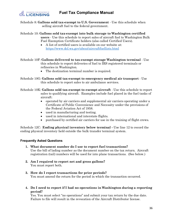

Schedule 8: **Gallons sold tax-exempt to U.S. Government** - Use this schedule when selling aircraft fuel to the federal government.

Schedule 10: **Gallons sold tax-exempt into bulk storage to Washington certified users** - Use this schedule to report sales of aircraft fuel to Washington Bulk Fuel Exemption Certificate holders (also called Certified Users).

- A list of certified users is available on our website at: <https://www.dol.wa.gov/about/aircraftfuellists.html>
- Schedule 10F: **Gallons delivered to tax-exempt storage Washington terminal** Use this schedule to report deliveries of fuel to IRS registered terminals or refineries in Washington.
	- The destination terminal number is required.
- Schedule 10G: **Gallons sold tax-exempt to emergency medical air transport**  Use this schedule to report sales to air ambulance services.
- Schedule 10K: **Gallons sold tax-exempt to exempt aircraft**  Use this schedule to report sales to qualifying aircraft. Examples include fuel placed in the fuel tanks of aircraft:
	- operated by air carriers and supplemental air carriers operating under a Certificate of Public Convenience and Necessity under the provisions of the Federal Aviation Act of 1958.
	- used in manufacturing and testing.
	- used in international and interstate flights.
	- purchased by certified air carriers for use in the training of flight crews.

Schedule 12C: **Ending physical inventory below terminal -** Use line 12 to record the ending physical inventory held outside the bulk transfer terminal system.

### <span id="page-36-0"></span>**Frequently Asked Questions**

- **1. What document number do I use to report fuel transactions?** Use the bill of lading number as the document number on the tax return. Aircraft registration (tail) numbers will be used for into plane transactions. (See below.)
- **2. Am I required to report net and gross gallons?** You must report both.
- **3. How do I report transactions for prior periods?** You must amend the return for the period in which the transaction occurred.
- **4. Do I need to report if I had no operations in Washington during a reporting period?**

Yes. You must select "no operations" and submit your tax return by the due date. Failure to file will result in the revocation of the Aircraft Distributor license.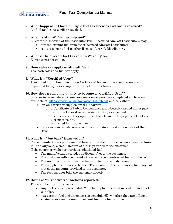

**5. What happens if I have multiple fuel tax licenses and one is revoked?** All fuel tax licenses will be revoked.

# **6. When is aircraft fuel tax imposed?**

- Aircraft fuel is taxed at the distributor level. Licensed Aircraft Distributors may:
	- buy tax-exempt fuel from other licensed Aircraft Distributors
	- sell tax-exempt fuel to other licensed Aircraft Distributors.
- **7. What is the aircraft fuel tax rate in Washington?**  Eleven cents per gallon.
- **8. Does sales tax apply to aircraft fuel?** Yes, both sales and fuel tax apply.
- **9. What is a "Certified User"?**

Also called "Bulk Fuel Exemption Certificate" holders, these companies are registered to buy tax-exempt aircraft fuel for bulk tanks.

# **10. How does a company qualify to become a "Certified User"?**

In order to be registered, these customers must provide a completed application, available at:<https://www.dol.wa.gov/forms/442076.pdf> and be, either:

- an air carrier or supplemental air carrier:
	- o a Certificate of Public Convenience and Necessity issued under part 121 of the Federal Aviation Act of 1958, as amended.
	- o documentation they operate at least 15 round trips per week between 2 or more points.
	- o published flight schedules.
- or a crop duster who operates from a private airfield at least 95% of the time.

### **11. What is a "buyback" transaction?**

Plane manufacturers purchase fuel from airline distributors. When a manufacturer sells an airplane, a small amount of fuel is provided to the customer.

If the customer wishes to purchase additional fuel:

- The manufacturer provides additional fuel to the customer.
- The customer tells the manufacturer who their contracted fuel supplier is.
- The manufacturer notifies the fuel supplier of the disbursement.
- The supplier reimburses the fuel. The amount of the reimbursed fuel may not match the amounts provided to the customer.
- The fuel supplier bills the customer directly.

### **12. How are "buyback" transactions reported?**

The manufacturer must report:

- any fuel received on schedule 2, including fuel received in trade from a fuel supplier.
- tax-exempt fuel disbursements on schedule 6D, whether they are billing a customer or seeking reimbursement from the fuel supplier.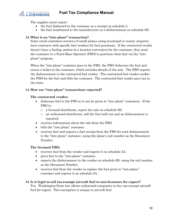

The supplier must report:

- the fuel disbursed to the customer as a receipt on schedule 2.
- the fuel reimbursed to the manufacturer as a disbursement on schedule 6D.

# **13. What is an "into plane" transaction?**

Some retail customers (owners of small planes using municipal or county airports) have contracts with specific fuel vendors for fuel purchases. If the contracted vendor doesn't have a fueling station in a location convenient for the customer, they send the customer to a Fixed Base Operator (FBO) to purchase their fuel via the "into plane" program.

When the "into plane" customer goes to the FBO, the FBO disburses the fuel and issues a ticket to the customer, which includes details of the sale. The FBO reports the disbursement to the contracted fuel vendor. The contracted fuel vendor credits the FBO for the fuel and bills the customer. The contracted fuel vendor pays tax to the state.

# **14. How are "into plane" transactions reported?**

### **The contracted vendor:**

- disburses fuel to the FBO so it can be given to "into plane" customers. If the FBO is:
	- o a licensed distributor, report the sale on schedule 6D.
	- o an unlicensed distributor, sell the fuel with tax and no disbursement is reported.
- receives information about the sale from the FBO.
- bills the "into plane" customer.
- receives fuel and reports a fuel receipt from the FBO for each disbursement to the "into plane" customer, using the plane's tail number as the Document Number.

### **The licensed FBO:**

- receives fuel from the vendor and reports it on schedule 2A.
- gives fuel to the "into-plane" customer.
- reports the disbursement to the vendor on schedule 6D, using the tail number as the Document Number.
- receives fuel from the vendor to replace the fuel given to "into-plane" customer and reports it on schedule 2A.

### **15. Is it legal to sell tax-exempt aircraft fuel to non-licensees for export?**

Yes. Washington State law allows unlicensed companies to buy tax-exempt aircraft fuel for export. This exemption is unique to aircraft fuel.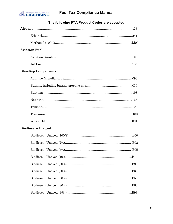

<span id="page-39-0"></span>

| <b>Aviation Fuel</b>       |  |  |  |  |
|----------------------------|--|--|--|--|
|                            |  |  |  |  |
|                            |  |  |  |  |
| <b>Blending Components</b> |  |  |  |  |
|                            |  |  |  |  |
|                            |  |  |  |  |
|                            |  |  |  |  |
|                            |  |  |  |  |
|                            |  |  |  |  |
|                            |  |  |  |  |
|                            |  |  |  |  |
| <b>Biodiesel</b> – Undyed  |  |  |  |  |
|                            |  |  |  |  |
|                            |  |  |  |  |
|                            |  |  |  |  |
|                            |  |  |  |  |
|                            |  |  |  |  |
|                            |  |  |  |  |
|                            |  |  |  |  |
|                            |  |  |  |  |
|                            |  |  |  |  |

# **The following FTA Product Codes are accepted**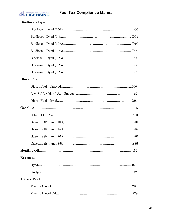

# **Biodiesel - Dyed**

|          | <b>Diesel Fuel</b> |  |
|----------|--------------------|--|
|          |                    |  |
|          |                    |  |
|          |                    |  |
|          |                    |  |
|          |                    |  |
|          |                    |  |
|          |                    |  |
|          |                    |  |
|          |                    |  |
|          |                    |  |
| Kerosene |                    |  |
|          |                    |  |
|          |                    |  |
|          | <b>Marine Fuel</b> |  |
|          |                    |  |
|          |                    |  |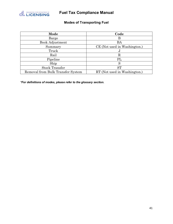<span id="page-41-0"></span>

# **Modes of Transporting Fuel**

| Mode                              | Code                         |
|-----------------------------------|------------------------------|
| Barge                             | В                            |
| <b>Book Adjustment</b>            | BA                           |
| Summary                           | CE (Not used in Washington.) |
| Truck                             | J                            |
| Rail                              | $_{\rm R}$                   |
| PL<br>Pipeline                    |                              |
| Ship                              | S                            |
| <b>Stock Transfer</b>             | ST                           |
| Removal from Bulk Transfer System | RT (Not used in Washington.) |

*\*For definitions of modes, please refer to the glossary section.*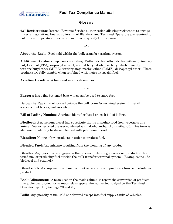

# **Glossary**

<span id="page-42-0"></span>**637 Registration**: Internal Revenue Service authorization allowing registrants to engage in certain activities. Fuel suppliers, Fuel Blenders, and Terminal Operators are required to hold the appropriate authorization in order to qualify for licensure.

**-A-**

**Above the Rack:** Fuel held within the bulk transfer terminal system.

**Additives:** Blending components including**:** Methyl alcohol, ethyl alcohol (ethanol), tertiary butyl alcohol (TBA), isopropyl alcohol, normal butyl alcohol, isobutyl alcohol, methyl tertiary butyl ether (MTBE), tertiary amyl methyl ether (TAME), di-isopropyl ether. These products are fully taxable when combined with motor or special fuel.

**Aviation Gasoline:** A fuel used in aircraft engines.

### **-B-**

**Barge:** A large flat bottomed boat which can be used to carry fuel.

**Below the Rack:** Fuel located outside the bulk transfer terminal system (in retail stations, fuel trucks, railcars, etc.)

**Bill of Lading Number:** A unique identifier listed on each bill of lading.

**Biodiesel:** A petroleum diesel fuel substitute that is manufactured from vegetable oils, animal fats, or recycled greases combined with alcohol (ethanol or methanol). This term is also used to identify biodiesel blended with petroleum diesel.

**Blending:** Mixing of two products in order to produce fuel.

**Blended Fuel:** Any mixture resulting from the blending of any product.

**Blender:** Any person who engages in the process of blending a non-taxed product with a taxed fuel or producing fuel outside the bulk transfer terminal system. (Examples include biodiesel and ethanol.)

**Blend stock:** A component combined with other materials to produce a finished petroleum product.

**Book Adjustment:** A term used in the mode column to report the conversion of products into a blended product or to report clear special fuel converted to dyed on the Terminal Operator report. (See page 28 and 29).

**Bulk:** Any quantity of fuel sold or delivered except into fuel supply tanks of vehicles.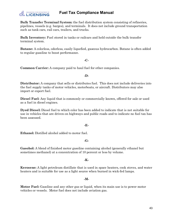

**Bulk Transfer Terminal System:** the fuel distribution system consisting of refineries, pipelines, vessels (e.g. barges), and terminals. It does not include ground transportation such as tank cars, rail cars, trailers, and trucks*.*

**Bulk Inventory:** Fuel stored in tanks or railcars and held outside the bulk transfer terminal system.

**Butane:** A colorless, odorless, easily liquefied, gaseous hydrocarbon. Butane is often added to regular gasoline to boost performance.

#### **-C-**

**Common Carrier:** A company paid to haul fuel for other companies.

#### **-D-**

**Distributor:** A company that sells or distributes fuel. This does not include deliveries into the fuel supply tanks of motor vehicles, motorboats, or aircraft. Distributors may also import or export fuel.

**Diesel Fuel:** Any liquid that is commonly or commercially known, offered for sale or used as a fuel in diesel engines.

**Dyed Diesel:** Diesel fuel to which color has been added to indicate that is not suitable for use in vehicles that are driven on highways and public roads and to indicate no fuel tax has been assessed.

#### **-E-**

**Ethanol:** Distilled alcohol added to motor fuel.

### **-G-**

**Gasohol:** A blend of finished motor gasoline containing alcohol (generally ethanol but sometimes methanol) at a concentration of 10 percent or less by volume.

#### **-K-**

**Kerosene:** A light petroleum distillate that is used in space heaters, cook stoves, and water heaters and is suitable for use as a light source when burned in wick-fed lamps.

#### **-M-**

**Motor Fuel:** Gasoline and any other gas or liquid, when its main use is to power motor vehicles or vessels. Motor fuel does not include aviation gas.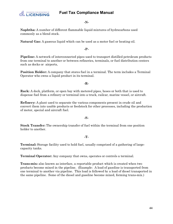

#### **-N-**

**Naphtha:** A number of different flammable liquid mixtures of hydrocarbons used commonly as a blend stock.

**Natural Gas:** A gaseous liquid which can be used as a motor fuel or heating oil.

**-P-**

**Pipeline:** A network of interconnected pipes used to transport distilled petroleum products from one terminal to another or between refineries, terminals, or fuel distribution centers such as docks or airports,

**Position Holder:** A company that stores fuel in a terminal. The term includes a Terminal Operator who owns a liquid product in its terminal.

**-R-**

**Rack:** A dock, platform, or open bay with metered pipes, hoses or both that is used to dispense fuel from a refinery or terminal into a truck, railcar, marine vessel, or aircraft.

**Refinery:** A plant used to separate the various components present in crude oil and convert them into usable products or feedstock for other processes, including the production of motor, special and aircraft fuel.

#### **-S-**

**Stock Transfer:** The ownership transfer of fuel within the terminal from one position holder to another.

#### **-T-**

**Terminal:** Storage facility used to hold fuel, usually comprised of a gathering of largecapacity tanks.

**Terminal Operator:** Any company that owns, operates or controls a terminal.

**Trans-mix:** also known as interface, a reportable product which is created when two products become mixed in the pipeline. (Example: A load of gasoline is transported from one terminal to another via pipeline. This load is followed by a load of diesel transported in the same pipeline. Some of the diesel and gasoline become mixed, forming trans-mix.)